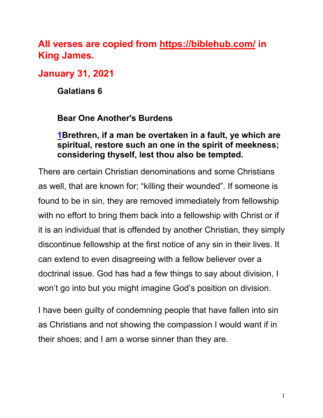## **All verses are copied from https://biblehub.com/ in King James.**

## **January 31, 2021**

**Galatians 6**

## **Bear One Another's Burdens**

## **1Brethren, if a man be overtaken in a fault, ye which are spiritual, restore such an one in the spirit of meekness; considering thyself, lest thou also be tempted.**

There are certain Christian denominations and some Christians as well, that are known for; "killing their wounded". If someone is found to be in sin, they are removed immediately from fellowship with no effort to bring them back into a fellowship with Christ or if it is an individual that is offended by another Christian, they simply discontinue fellowship at the first notice of any sin in their lives. It can extend to even disagreeing with a fellow believer over a doctrinal issue. God has had a few things to say about division, I won't go into but you might imagine God's position on division.

I have been guilty of condemning people that have fallen into sin as Christians and not showing the compassion I would want if in their shoes; and I am a worse sinner than they are.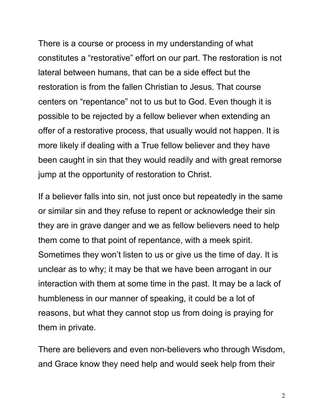There is a course or process in my understanding of what constitutes a "restorative" effort on our part. The restoration is not lateral between humans, that can be a side effect but the restoration is from the fallen Christian to Jesus. That course centers on "repentance" not to us but to God. Even though it is possible to be rejected by a fellow believer when extending an offer of a restorative process, that usually would not happen. It is more likely if dealing with a True fellow believer and they have been caught in sin that they would readily and with great remorse jump at the opportunity of restoration to Christ.

If a believer falls into sin, not just once but repeatedly in the same or similar sin and they refuse to repent or acknowledge their sin they are in grave danger and we as fellow believers need to help them come to that point of repentance, with a meek spirit. Sometimes they won't listen to us or give us the time of day. It is unclear as to why; it may be that we have been arrogant in our interaction with them at some time in the past. It may be a lack of humbleness in our manner of speaking, it could be a lot of reasons, but what they cannot stop us from doing is praying for them in private.

There are believers and even non-believers who through Wisdom, and Grace know they need help and would seek help from their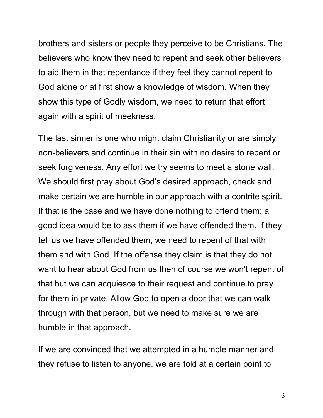brothers and sisters or people they perceive to be Christians. The believers who know they need to repent and seek other believers to aid them in that repentance if they feel they cannot repent to God alone or at first show a knowledge of wisdom. When they show this type of Godly wisdom, we need to return that effort again with a spirit of meekness.

The last sinner is one who might claim Christianity or are simply non-believers and continue in their sin with no desire to repent or seek forgiveness. Any effort we try seems to meet a stone wall. We should first pray about God's desired approach, check and make certain we are humble in our approach with a contrite spirit. If that is the case and we have done nothing to offend them; a good idea would be to ask them if we have offended them. If they tell us we have offended them, we need to repent of that with them and with God. If the offense they claim is that they do not want to hear about God from us then of course we won't repent of that but we can acquiesce to their request and continue to pray for them in private. Allow God to open a door that we can walk through with that person, but we need to make sure we are humble in that approach.

If we are convinced that we attempted in a humble manner and they refuse to listen to anyone, we are told at a certain point to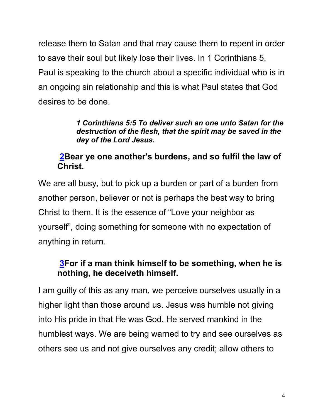release them to Satan and that may cause them to repent in order to save their soul but likely lose their lives. In 1 Corinthians 5, Paul is speaking to the church about a specific individual who is in an ongoing sin relationship and this is what Paul states that God desires to be done.

> *1 Corinthians 5:5 To deliver such an one unto Satan for the destruction of the flesh, that the spirit may be saved in the day of the Lord Jesus.*

## **2Bear ye one another's burdens, and so fulfil the law of Christ.**

We are all busy, but to pick up a burden or part of a burden from another person, believer or not is perhaps the best way to bring Christ to them. It is the essence of "Love your neighbor as yourself", doing something for someone with no expectation of anything in return.

## **3For if a man think himself to be something, when he is nothing, he deceiveth himself.**

I am guilty of this as any man, we perceive ourselves usually in a higher light than those around us. Jesus was humble not giving into His pride in that He was God. He served mankind in the humblest ways. We are being warned to try and see ourselves as others see us and not give ourselves any credit; allow others to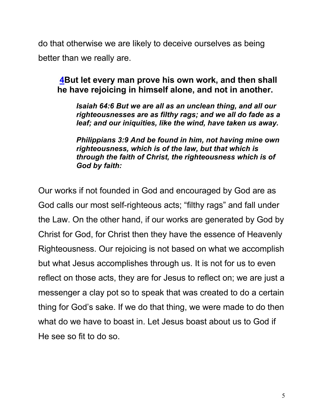do that otherwise we are likely to deceive ourselves as being better than we really are.

## **4But let every man prove his own work, and then shall he have rejoicing in himself alone, and not in another.**

*Isaiah 64:6 But we are all as an unclean thing, and all our righteousnesses are as filthy rags; and we all do fade as a leaf; and our iniquities, like the wind, have taken us away.*

*Philippians 3:9 And be found in him, not having mine own righteousness, which is of the law, but that which is through the faith of Christ, the righteousness which is of God by faith:*

Our works if not founded in God and encouraged by God are as God calls our most self-righteous acts; "filthy rags" and fall under the Law. On the other hand, if our works are generated by God by Christ for God, for Christ then they have the essence of Heavenly Righteousness. Our rejoicing is not based on what we accomplish but what Jesus accomplishes through us. It is not for us to even reflect on those acts, they are for Jesus to reflect on; we are just a messenger a clay pot so to speak that was created to do a certain thing for God's sake. If we do that thing, we were made to do then what do we have to boast in. Let Jesus boast about us to God if He see so fit to do so.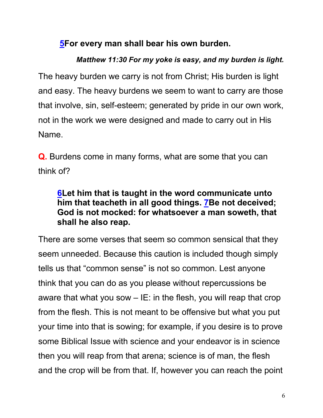## **5For every man shall bear his own burden.**

# *Matthew 11:30 For my yoke is easy, and my burden is light.* The heavy burden we carry is not from Christ; His burden is light and easy. The heavy burdens we seem to want to carry are those that involve, sin, self-esteem; generated by pride in our own work, not in the work we were designed and made to carry out in His Name.

**Q.** Burdens come in many forms, what are some that you can think of?

## **6Let him that is taught in the word communicate unto him that teacheth in all good things. 7Be not deceived; God is not mocked: for whatsoever a man soweth, that shall he also reap.**

There are some verses that seem so common sensical that they seem unneeded. Because this caution is included though simply tells us that "common sense" is not so common. Lest anyone think that you can do as you please without repercussions be aware that what you sow  $-$  IE: in the flesh, you will reap that crop from the flesh. This is not meant to be offensive but what you put your time into that is sowing; for example, if you desire is to prove some Biblical Issue with science and your endeavor is in science then you will reap from that arena; science is of man, the flesh and the crop will be from that. If, however you can reach the point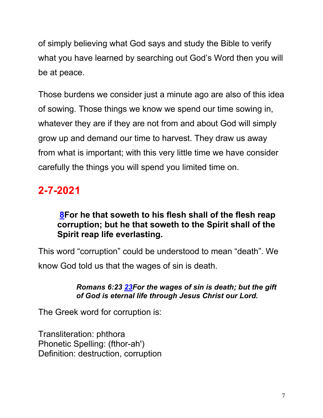of simply believing what God says and study the Bible to verify what you have learned by searching out God's Word then you will be at peace.

Those burdens we consider just a minute ago are also of this idea of sowing. Those things we know we spend our time sowing in, whatever they are if they are not from and about God will simply grow up and demand our time to harvest. They draw us away from what is important; with this very little time we have consider carefully the things you will spend you limited time on.

# **2-7-2021**

## **8For he that soweth to his flesh shall of the flesh reap corruption; but he that soweth to the Spirit shall of the Spirit reap life everlasting.**

This word "corruption" could be understood to mean "death". We know God told us that the wages of sin is death.

#### *Romans 6:23 23For the wages of sin is death; but the gift of God is eternal life through Jesus Christ our Lord.*

The Greek word for corruption is:

Transliteration: phthora Phonetic Spelling: (fthor-ah') Definition: destruction, corruption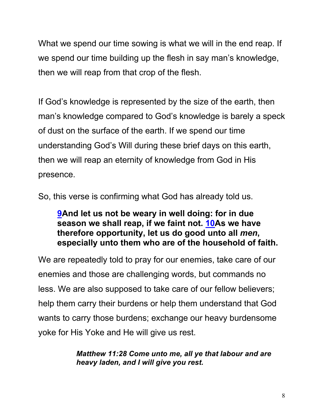What we spend our time sowing is what we will in the end reap. If we spend our time building up the flesh in say man's knowledge, then we will reap from that crop of the flesh.

If God's knowledge is represented by the size of the earth, then man's knowledge compared to God's knowledge is barely a speck of dust on the surface of the earth. If we spend our time understanding God's Will during these brief days on this earth, then we will reap an eternity of knowledge from God in His presence.

So, this verse is confirming what God has already told us.

## **9And let us not be weary in well doing: for in due season we shall reap, if we faint not. 10As we have therefore opportunity, let us do good unto all** *men***, especially unto them who are of the household of faith.**

We are repeatedly told to pray for our enemies, take care of our enemies and those are challenging words, but commands no less. We are also supposed to take care of our fellow believers; help them carry their burdens or help them understand that God wants to carry those burdens; exchange our heavy burdensome yoke for His Yoke and He will give us rest.

> *Matthew 11:28 Come unto me, all ye that labour and are heavy laden, and I will give you rest.*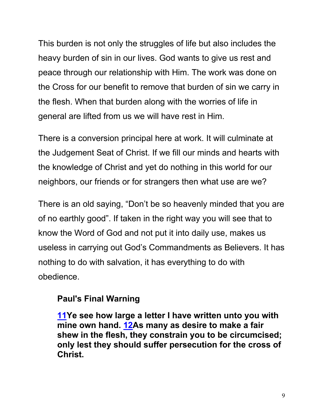This burden is not only the struggles of life but also includes the heavy burden of sin in our lives. God wants to give us rest and peace through our relationship with Him. The work was done on the Cross for our benefit to remove that burden of sin we carry in the flesh. When that burden along with the worries of life in general are lifted from us we will have rest in Him.

There is a conversion principal here at work. It will culminate at the Judgement Seat of Christ. If we fill our minds and hearts with the knowledge of Christ and yet do nothing in this world for our neighbors, our friends or for strangers then what use are we?

There is an old saying, "Don't be so heavenly minded that you are of no earthly good". If taken in the right way you will see that to know the Word of God and not put it into daily use, makes us useless in carrying out God's Commandments as Believers. It has nothing to do with salvation, it has everything to do with obedience.

## **Paul's Final Warning**

**11Ye see how large a letter I have written unto you with mine own hand. 12As many as desire to make a fair shew in the flesh, they constrain you to be circumcised; only lest they should suffer persecution for the cross of Christ.**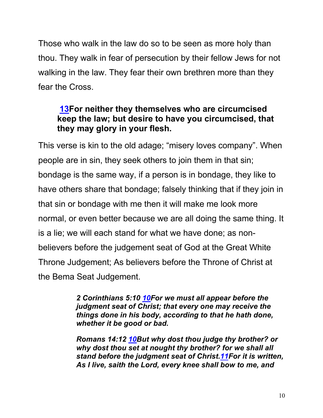Those who walk in the law do so to be seen as more holy than thou. They walk in fear of persecution by their fellow Jews for not walking in the law. They fear their own brethren more than they fear the Cross.

## **13For neither they themselves who are circumcised keep the law; but desire to have you circumcised, that they may glory in your flesh.**

This verse is kin to the old adage; "misery loves company". When people are in sin, they seek others to join them in that sin; bondage is the same way, if a person is in bondage, they like to have others share that bondage; falsely thinking that if they join in that sin or bondage with me then it will make me look more normal, or even better because we are all doing the same thing. It is a lie; we will each stand for what we have done; as nonbelievers before the judgement seat of God at the Great White Throne Judgement; As believers before the Throne of Christ at the Bema Seat Judgement.

> *2 Corinthians 5:10 10For we must all appear before the judgment seat of Christ; that every one may receive the things done in his body, according to that he hath done, whether it be good or bad.*

*Romans 14:12 10But why dost thou judge thy brother? or why dost thou set at nought thy brother? for we shall all stand before the judgment seat of Christ.11For it is written, As I live, saith the Lord, every knee shall bow to me, and*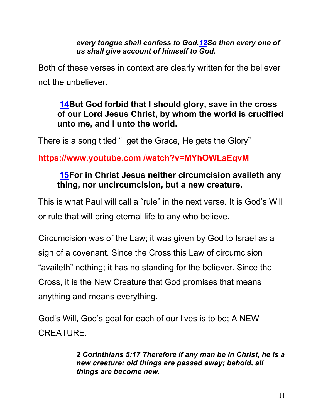*every tongue shall confess to God.12So then every one of us shall give account of himself to God.*

Both of these verses in context are clearly written for the believer not the unbeliever.

## **14But God forbid that I should glory, save in the cross of our Lord Jesus Christ, by whom the world is crucified unto me, and I unto the world.**

There is a song titled "I get the Grace, He gets the Glory"

## **https://www.youtube.com /watch?v=MYhOWLaEqvM**

## **15For in Christ Jesus neither circumcision availeth any thing, nor uncircumcision, but a new creature.**

This is what Paul will call a "rule" in the next verse. It is God's Will or rule that will bring eternal life to any who believe.

Circumcision was of the Law; it was given by God to Israel as a sign of a covenant. Since the Cross this Law of circumcision "availeth" nothing; it has no standing for the believer. Since the Cross, it is the New Creature that God promises that means anything and means everything.

God's Will, God's goal for each of our lives is to be; A NEW CREATURE.

> *2 Corinthians 5:17 Therefore if any man be in Christ, he is a new creature: old things are passed away; behold, all things are become new.*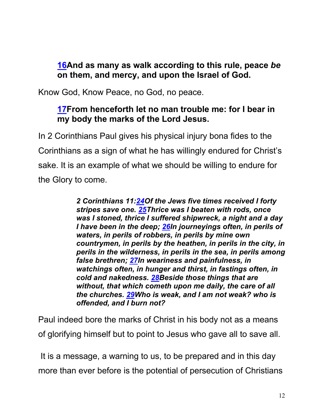## **16And as many as walk according to this rule, peace** *be* **on them, and mercy, and upon the Israel of God.**

Know God, Know Peace, no God, no peace.

## **17From henceforth let no man trouble me: for I bear in my body the marks of the Lord Jesus.**

In 2 Corinthians Paul gives his physical injury bona fides to the Corinthians as a sign of what he has willingly endured for Christ's sake. It is an example of what we should be willing to endure for the Glory to come.

> *2 Corinthians 11:24Of the Jews five times received I forty stripes save one. 25Thrice was I beaten with rods, once was I stoned, thrice I suffered shipwreck, a night and a day I have been in the deep; 26In journeyings often, in perils of waters, in perils of robbers, in perils by mine own countrymen, in perils by the heathen, in perils in the city, in perils in the wilderness, in perils in the sea, in perils among false brethren; 27In weariness and painfulness, in watchings often, in hunger and thirst, in fastings often, in cold and nakedness. 28Beside those things that are without, that which cometh upon me daily, the care of all the churches. 29Who is weak, and I am not weak? who is offended, and I burn not?*

Paul indeed bore the marks of Christ in his body not as a means of glorifying himself but to point to Jesus who gave all to save all.

It is a message, a warning to us, to be prepared and in this day more than ever before is the potential of persecution of Christians